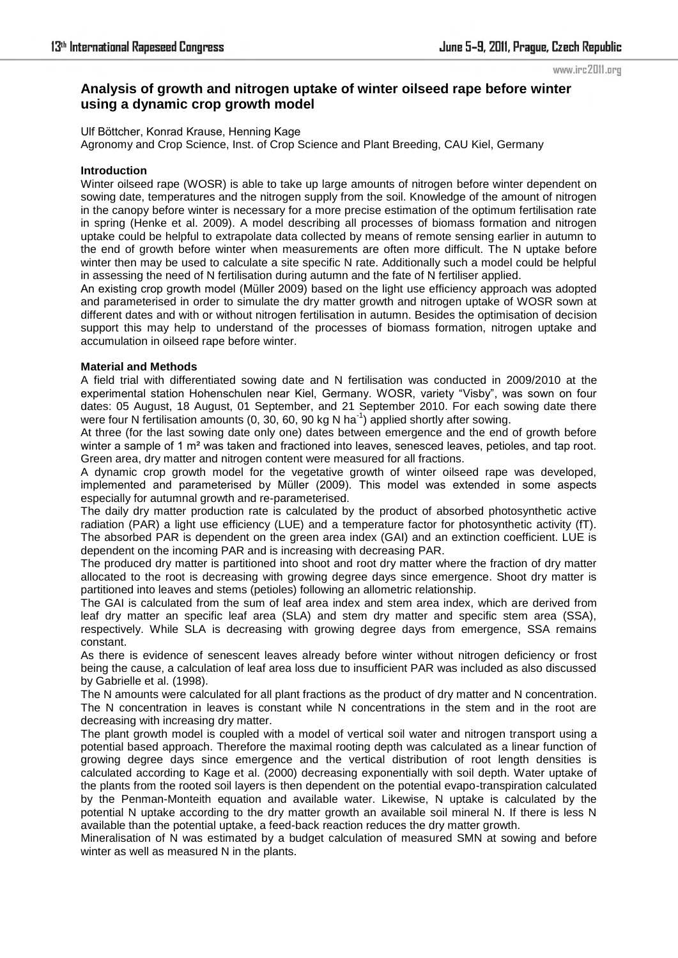www.irc2011.org

# **Analysis of growth and nitrogen uptake of winter oilseed rape before winter using a dynamic crop growth model**

Ulf Böttcher, Konrad Krause, Henning Kage Agronomy and Crop Science, Inst. of Crop Science and Plant Breeding, CAU Kiel, Germany

## **Introduction**

Winter oilseed rape (WOSR) is able to take up large amounts of nitrogen before winter dependent on sowing date, temperatures and the nitrogen supply from the soil. Knowledge of the amount of nitrogen in the canopy before winter is necessary for a more precise estimation of the optimum fertilisation rate in spring (Henke et al. 2009). A model describing all processes of biomass formation and nitrogen uptake could be helpful to extrapolate data collected by means of remote sensing earlier in autumn to the end of growth before winter when measurements are often more difficult. The N uptake before winter then may be used to calculate a site specific N rate. Additionally such a model could be helpful in assessing the need of N fertilisation during autumn and the fate of N fertiliser applied.

An existing crop growth model (Müller 2009) based on the light use efficiency approach was adopted and parameterised in order to simulate the dry matter growth and nitrogen uptake of WOSR sown at different dates and with or without nitrogen fertilisation in autumn. Besides the optimisation of decision support this may help to understand of the processes of biomass formation, nitrogen uptake and accumulation in oilseed rape before winter.

# **Material and Methods**

A field trial with differentiated sowing date and N fertilisation was conducted in 2009/2010 at the experimental station Hohenschulen near Kiel, Germany. WOSR, variety "Visby", was sown on four dates: 05 August, 18 August, 01 September, and 21 September 2010. For each sowing date there were four N fertilisation amounts (0, 30, 60, 90 kg N ha<sup>-1</sup>) applied shortly after sowing.

At three (for the last sowing date only one) dates between emergence and the end of growth before winter a sample of 1 m<sup>2</sup> was taken and fractioned into leaves, senesced leaves, petioles, and tap root. Green area, dry matter and nitrogen content were measured for all fractions.

A dynamic crop growth model for the vegetative growth of winter oilseed rape was developed, implemented and parameterised by Müller (2009). This model was extended in some aspects especially for autumnal growth and re-parameterised.

The daily dry matter production rate is calculated by the product of absorbed photosynthetic active radiation (PAR) a light use efficiency (LUE) and a temperature factor for photosynthetic activity (fT). The absorbed PAR is dependent on the green area index (GAI) and an extinction coefficient. LUE is dependent on the incoming PAR and is increasing with decreasing PAR.

The produced dry matter is partitioned into shoot and root dry matter where the fraction of dry matter allocated to the root is decreasing with growing degree days since emergence. Shoot dry matter is partitioned into leaves and stems (petioles) following an allometric relationship.

The GAI is calculated from the sum of leaf area index and stem area index, which are derived from leaf dry matter an specific leaf area (SLA) and stem dry matter and specific stem area (SSA), respectively. While SLA is decreasing with growing degree days from emergence, SSA remains constant.

As there is evidence of senescent leaves already before winter without nitrogen deficiency or frost being the cause, a calculation of leaf area loss due to insufficient PAR was included as also discussed by Gabrielle et al. (1998).

The N amounts were calculated for all plant fractions as the product of dry matter and N concentration. The N concentration in leaves is constant while N concentrations in the stem and in the root are decreasing with increasing dry matter.

The plant growth model is coupled with a model of vertical soil water and nitrogen transport using a potential based approach. Therefore the maximal rooting depth was calculated as a linear function of growing degree days since emergence and the vertical distribution of root length densities is calculated according to Kage et al. (2000) decreasing exponentially with soil depth. Water uptake of the plants from the rooted soil layers is then dependent on the potential evapo-transpiration calculated by the Penman-Monteith equation and available water. Likewise, N uptake is calculated by the potential N uptake according to the dry matter growth an available soil mineral N. If there is less N available than the potential uptake, a feed-back reaction reduces the dry matter growth.

Mineralisation of N was estimated by a budget calculation of measured SMN at sowing and before winter as well as measured N in the plants.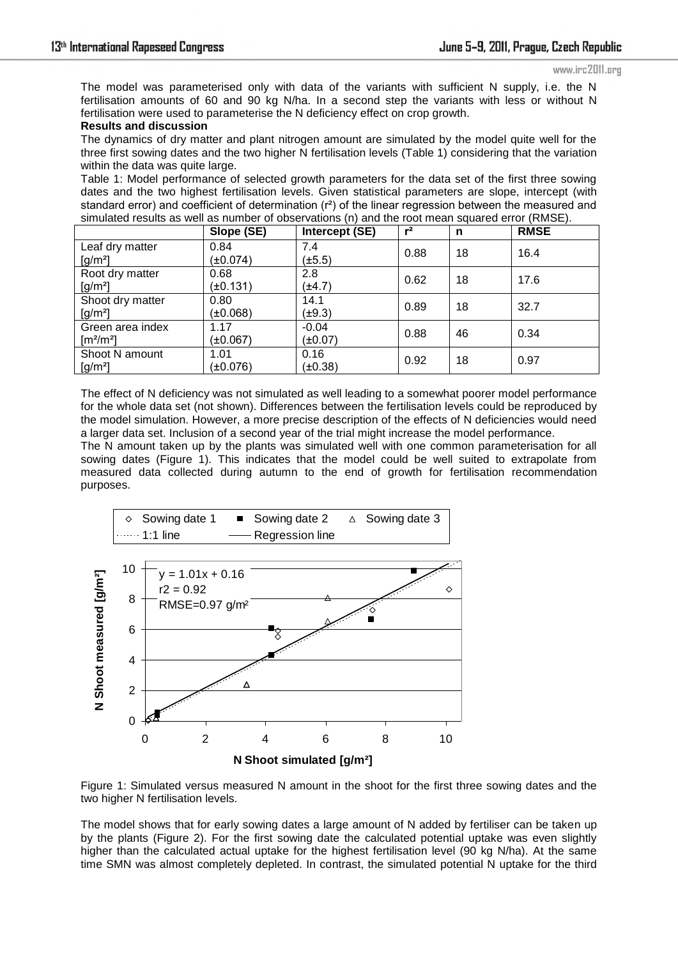The model was parameterised only with data of the variants with sufficient N supply, i.e. the N fertilisation amounts of 60 and 90 kg N/ha. In a second step the variants with less or without N fertilisation were used to parameterise the N deficiency effect on crop growth.

### **Results and discussion**

The dynamics of dry matter and plant nitrogen amount are simulated by the model quite well for the three first sowing dates and the two higher N fertilisation levels (Table 1) considering that the variation within the data was quite large.

Table 1: Model performance of selected growth parameters for the data set of the first three sowing dates and the two highest fertilisation levels. Given statistical parameters are slope, intercept (with standard error) and coefficient of determination (r<sup>2</sup>) of the linear regression between the measured and simulated results as well as number of observations (n) and the root mean squared error (RMSE).

|                                | Slope (SE)    | Intercept (SE) | $r^2$ | n  | <b>RMSE</b> |
|--------------------------------|---------------|----------------|-------|----|-------------|
| Leaf dry matter                | 0.84          | 7.4            | 0.88  | 18 | 16.4        |
| $[g/m^2]$                      | $(\pm 0.074)$ | $(\pm 5.5)$    |       |    |             |
| Root dry matter                | 0.68          | 2.8            | 0.62  | 18 | 17.6        |
| $[g/m^2]$                      | $(\pm 0.131)$ | $(\pm 4.7)$    |       |    |             |
| Shoot dry matter               | 0.80          | 14.1           | 0.89  | 18 | 32.7        |
| $[g/m^2]$                      | (±0.068)      | $(\pm 9.3)$    |       |    |             |
| Green area index               | 1.17          | $-0.04$        | 0.88  | 46 | 0.34        |
| $\left[\frac{m^2}{m^2}\right]$ | $(\pm 0.067)$ | (±0.07)        |       |    |             |
| Shoot N amount                 | 1.01          | 0.16           | 0.92  | 18 | 0.97        |
| $[g/m^2]$                      | (±0.076)      | (±0.38)        |       |    |             |

The effect of N deficiency was not simulated as well leading to a somewhat poorer model performance for the whole data set (not shown). Differences between the fertilisation levels could be reproduced by the model simulation. However, a more precise description of the effects of N deficiencies would need a larger data set. Inclusion of a second year of the trial might increase the model performance.

The N amount taken up by the plants was simulated well with one common parameterisation for all sowing dates (Figure 1). This indicates that the model could be well suited to extrapolate from measured data collected during autumn to the end of growth for fertilisation recommendation purposes.



Figure 1: Simulated versus measured N amount in the shoot for the first three sowing dates and the two higher N fertilisation levels.

The model shows that for early sowing dates a large amount of N added by fertiliser can be taken up by the plants (Figure 2). For the first sowing date the calculated potential uptake was even slightly higher than the calculated actual uptake for the highest fertilisation level (90 kg N/ha). At the same time SMN was almost completely depleted. In contrast, the simulated potential N uptake for the third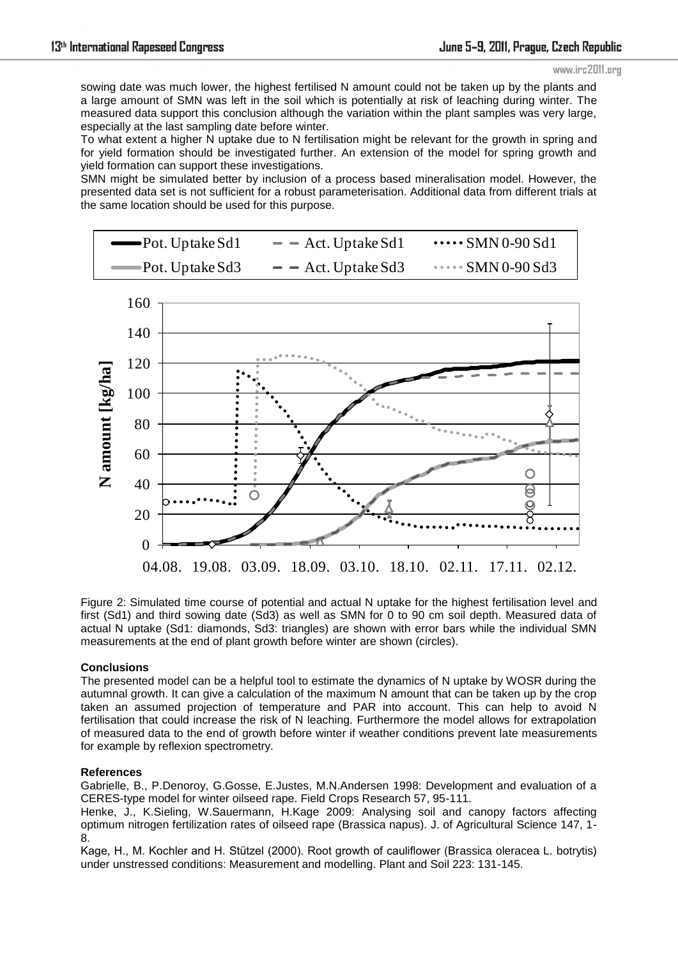#### www.irc2011.org

sowing date was much lower, the highest fertilised N amount could not be taken up by the plants and a large amount of SMN was left in the soil which is potentially at risk of leaching during winter. The measured data support this conclusion although the variation within the plant samples was very large, especially at the last sampling date before winter.

To what extent a higher N uptake due to N fertilisation might be relevant for the growth in spring and for yield formation should be investigated further. An extension of the model for spring growth and yield formation can support these investigations.

SMN might be simulated better by inclusion of a process based mineralisation model. However, the presented data set is not sufficient for a robust parameterisation. Additional data from different trials at the same location should be used for this purpose.

| $\longrightarrow$ Pot. Uptake Sd1 | $ -$ Act. Uptake Sd1 | $\cdots$ SMN 0-90 Sd1 |
|-----------------------------------|----------------------|-----------------------|
| $\longrightarrow$ Pot. Uptake Sd3 | $ -$ Act. Uptake Sd3 | $\cdots$ SMN 0-90 Sd3 |



Figure 2: Simulated time course of potential and actual N uptake for the highest fertilisation level and first (Sd1) and third sowing date (Sd3) as well as SMN for 0 to 90 cm soil depth. Measured data of actual N uptake (Sd1: diamonds, Sd3: triangles) are shown with error bars while the individual SMN measurements at the end of plant growth before winter are shown (circles).

# **Conclusions**

The presented model can be a helpful tool to estimate the dynamics of N uptake by WOSR during the autumnal growth. It can give a calculation of the maximum N amount that can be taken up by the crop taken an assumed projection of temperature and PAR into account. This can help to avoid N fertilisation that could increase the risk of N leaching. Furthermore the model allows for extrapolation of measured data to the end of growth before winter if weather conditions prevent late measurements for example by reflexion spectrometry.

# **References**

Gabrielle, B., P.Denoroy, G.Gosse, E.Justes, M.N.Andersen 1998: Development and evaluation of a CERES-type model for winter oilseed rape. Field Crops Research 57, 95-111.

Henke, J., K.Sieling, W.Sauermann, H.Kage 2009: Analysing soil and canopy factors affecting optimum nitrogen fertilization rates of oilseed rape (Brassica napus). J. of Agricultural Science 147, 1- 8.

Kage, H., M. Kochler and H. Stützel (2000). Root growth of cauliflower (Brassica oleracea L. botrytis) under unstressed conditions: Measurement and modelling. Plant and Soil 223: 131-145.